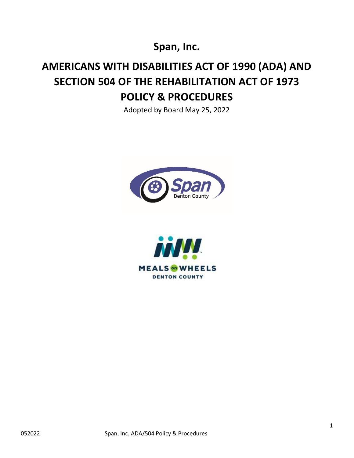**Span, Inc.**

## **AMERICANS WITH DISABILITIES ACT OF 1990 (ADA) AND SECTION 504 OF THE REHABILITATION ACT OF 1973 POLICY & PROCEDURES**

Adopted by Board May 25, 2022



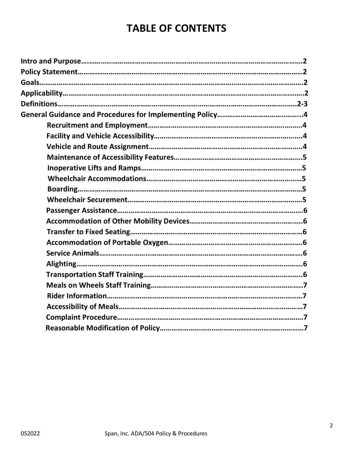## **TABLE OF CONTENTS**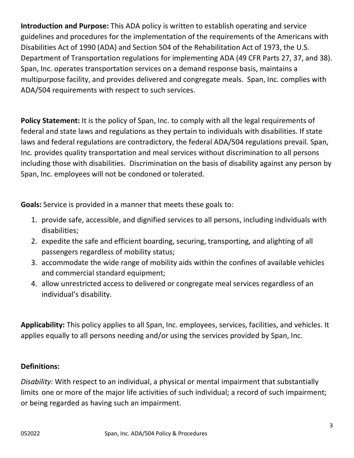**Introduction and Purpose:** This ADA policy is written to establish operating and service guidelines and procedures for the implementation of the requirements of the Americans with Disabilities Act of 1990 (ADA) and Section 504 of the Rehabilitation Act of 1973, the U.S. Department of Transportation regulations for implementing ADA (49 CFR Parts 27, 37, and 38). Span, Inc. operates transportation services on a demand response basis, maintains a multipurpose facility, and provides delivered and congregate meals. Span, Inc. complies with ADA/504 requirements with respect to such services.

**Policy Statement:** It is the policy of Span, Inc. to comply with all the legal requirements of federal and state laws and regulations as they pertain to individuals with disabilities. If state laws and federal regulations are contradictory, the federal ADA/504 regulations prevail. Span, Inc. provides quality transportation and meal services without discrimination to all persons including those with disabilities. Discrimination on the basis of disability against any person by Span, Inc. employees will not be condoned or tolerated.

**Goals:** Service is provided in a manner that meets these goals to:

- 1. provide safe, accessible, and dignified services to all persons, including individuals with disabilities;
- 2. expedite the safe and efficient boarding, securing, transporting, and alighting of all passengers regardless of mobility status;
- 3. accommodate the wide range of mobility aids within the confines of available vehicles and commercial standard equipment;
- 4. allow unrestricted access to delivered or congregate meal services regardless of an individual's disability.

**Applicability:** This policy applies to all Span, Inc. employees, services, facilities, and vehicles. It applies equally to all persons needing and/or using the services provided by Span, Inc.

## **Definitions:**

*Disability:* With respect to an individual, a physical or mental impairment that substantially limits one or more of the major life activities of such individual; a record of such impairment; or being regarded as having such an impairment.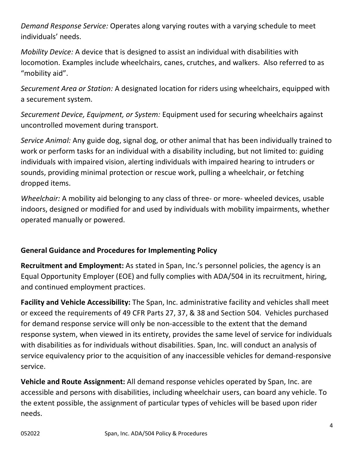*Demand Response Service:* Operates along varying routes with a varying schedule to meet individuals' needs.

*Mobility Device:* A device that is designed to assist an individual with disabilities with locomotion. Examples include wheelchairs, canes, crutches, and walkers. Also referred to as "mobility aid".

*Securement Area or Station:* A designated location for riders using wheelchairs, equipped with a securement system.

*Securement Device, Equipment, or System:* Equipment used for securing wheelchairs against uncontrolled movement during transport.

*Service Animal:* Any guide dog, signal dog, or other animal that has been individually trained to work or perform tasks for an individual with a disability including, but not limited to: guiding individuals with impaired vision, alerting individuals with impaired hearing to intruders or sounds, providing minimal protection or rescue work, pulling a wheelchair, or fetching dropped items.

*Wheelchair:* A mobility aid belonging to any class of three- or more- wheeled devices, usable indoors, designed or modified for and used by individuals with mobility impairments, whether operated manually or powered.

## **General Guidance and Procedures for Implementing Policy**

**Recruitment and Employment:** As stated in Span, Inc.'s personnel policies, the agency is an Equal Opportunity Employer (EOE) and fully complies with ADA/504 in its recruitment, hiring, and continued employment practices.

**Facility and Vehicle Accessibility:** The Span, Inc. administrative facility and vehicles shall meet or exceed the requirements of 49 CFR Parts 27, 37, & 38 and Section 504. Vehicles purchased for demand response service will only be non-accessible to the extent that the demand response system, when viewed in its entirety, provides the same level of service for individuals with disabilities as for individuals without disabilities. Span, Inc. will conduct an analysis of service equivalency prior to the acquisition of any inaccessible vehicles for demand-responsive service.

**Vehicle and Route Assignment:** All demand response vehicles operated by Span, Inc. are accessible and persons with disabilities, including wheelchair users, can board any vehicle. To the extent possible, the assignment of particular types of vehicles will be based upon rider needs.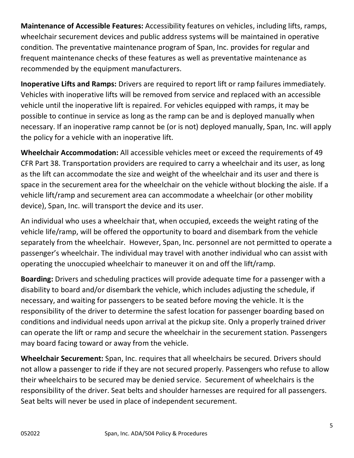**Maintenance of Accessible Features:** Accessibility features on vehicles, including lifts, ramps, wheelchair securement devices and public address systems will be maintained in operative condition. The preventative maintenance program of Span, Inc. provides for regular and frequent maintenance checks of these features as well as preventative maintenance as recommended by the equipment manufacturers.

**Inoperative Lifts and Ramps:** Drivers are required to report lift or ramp failures immediately. Vehicles with inoperative lifts will be removed from service and replaced with an accessible vehicle until the inoperative lift is repaired. For vehicles equipped with ramps, it may be possible to continue in service as long as the ramp can be and is deployed manually when necessary. If an inoperative ramp cannot be (or is not) deployed manually, Span, Inc. will apply the policy for a vehicle with an inoperative lift.

**Wheelchair Accommodation:** All accessible vehicles meet or exceed the requirements of 49 CFR Part 38. Transportation providers are required to carry a wheelchair and its user, as long as the lift can accommodate the size and weight of the wheelchair and its user and there is space in the securement area for the wheelchair on the vehicle without blocking the aisle. If a vehicle lift/ramp and securement area can accommodate a wheelchair (or other mobility device), Span, Inc. will transport the device and its user.

An individual who uses a wheelchair that, when occupied, exceeds the weight rating of the vehicle life/ramp, will be offered the opportunity to board and disembark from the vehicle separately from the wheelchair. However, Span, Inc. personnel are not permitted to operate a passenger's wheelchair. The individual may travel with another individual who can assist with operating the unoccupied wheelchair to maneuver it on and off the lift/ramp.

**Boarding:** Drivers and scheduling practices will provide adequate time for a passenger with a disability to board and/or disembark the vehicle, which includes adjusting the schedule, if necessary, and waiting for passengers to be seated before moving the vehicle. It is the responsibility of the driver to determine the safest location for passenger boarding based on conditions and individual needs upon arrival at the pickup site. Only a properly trained driver can operate the lift or ramp and secure the wheelchair in the securement station. Passengers may board facing toward or away from the vehicle.

**Wheelchair Securement:** Span, Inc. requires that all wheelchairs be secured. Drivers should not allow a passenger to ride if they are not secured properly. Passengers who refuse to allow their wheelchairs to be secured may be denied service. Securement of wheelchairs is the responsibility of the driver. Seat belts and shoulder harnesses are required for all passengers. Seat belts will never be used in place of independent securement.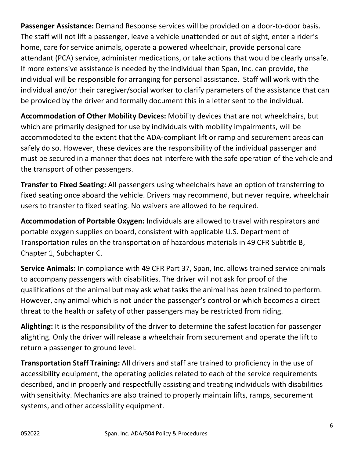**Passenger Assistance:** Demand Response services will be provided on a door-to-door basis. The staff will not lift a passenger, leave a vehicle unattended or out of sight, enter a rider's home, care for service animals, operate a powered wheelchair, provide personal care attendant (PCA) service, administer medications, or take actions that would be clearly unsafe. If more extensive assistance is needed by the individual than Span, Inc. can provide, the individual will be responsible for arranging for personal assistance. Staff will work with the individual and/or their caregiver/social worker to clarify parameters of the assistance that can be provided by the driver and formally document this in a letter sent to the individual.

**Accommodation of Other Mobility Devices:** Mobility devices that are not wheelchairs, but which are primarily designed for use by individuals with mobility impairments, will be accommodated to the extent that the ADA-compliant lift or ramp and securement areas can safely do so. However, these devices are the responsibility of the individual passenger and must be secured in a manner that does not interfere with the safe operation of the vehicle and the transport of other passengers.

**Transfer to Fixed Seating:** All passengers using wheelchairs have an option of transferring to fixed seating once aboard the vehicle. Drivers may recommend, but never require, wheelchair users to transfer to fixed seating. No waivers are allowed to be required.

**Accommodation of Portable Oxygen:** Individuals are allowed to travel with respirators and portable oxygen supplies on board, consistent with applicable U.S. Department of Transportation rules on the transportation of hazardous materials in 49 CFR Subtitle B, Chapter 1, Subchapter C.

**Service Animals:** In compliance with 49 CFR Part 37, Span, Inc. allows trained service animals to accompany passengers with disabilities. The driver will not ask for proof of the qualifications of the animal but may ask what tasks the animal has been trained to perform. However, any animal which is not under the passenger's control or which becomes a direct threat to the health or safety of other passengers may be restricted from riding.

**Alighting:** It is the responsibility of the driver to determine the safest location for passenger alighting. Only the driver will release a wheelchair from securement and operate the lift to return a passenger to ground level.

**Transportation Staff Training:** All drivers and staff are trained to proficiency in the use of accessibility equipment, the operating policies related to each of the service requirements described, and in properly and respectfully assisting and treating individuals with disabilities with sensitivity. Mechanics are also trained to properly maintain lifts, ramps, securement systems, and other accessibility equipment.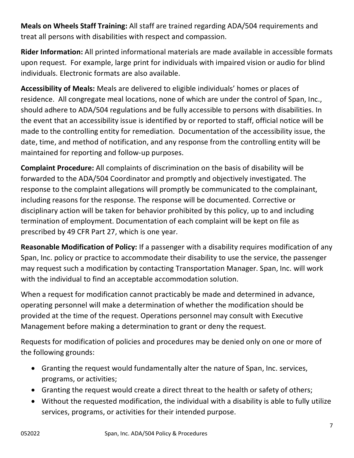**Meals on Wheels Staff Training:** All staff are trained regarding ADA/504 requirements and treat all persons with disabilities with respect and compassion.

**Rider Information:** All printed informational materials are made available in accessible formats upon request. For example, large print for individuals with impaired vision or audio for blind individuals. Electronic formats are also available.

**Accessibility of Meals:** Meals are delivered to eligible individuals' homes or places of residence. All congregate meal locations, none of which are under the control of Span, Inc., should adhere to ADA/504 regulations and be fully accessible to persons with disabilities. In the event that an accessibility issue is identified by or reported to staff, official notice will be made to the controlling entity for remediation. Documentation of the accessibility issue, the date, time, and method of notification, and any response from the controlling entity will be maintained for reporting and follow-up purposes.

**Complaint Procedure:** All complaints of discrimination on the basis of disability will be forwarded to the ADA/504 Coordinator and promptly and objectively investigated. The response to the complaint allegations will promptly be communicated to the complainant, including reasons for the response. The response will be documented. Corrective or disciplinary action will be taken for behavior prohibited by this policy, up to and including termination of employment. Documentation of each complaint will be kept on file as prescribed by 49 CFR Part 27, which is one year.

**Reasonable Modification of Policy:** If a passenger with a disability requires modification of any Span, Inc. policy or practice to accommodate their disability to use the service, the passenger may request such a modification by contacting Transportation Manager. Span, Inc. will work with the individual to find an acceptable accommodation solution.

When a request for modification cannot practicably be made and determined in advance, operating personnel will make a determination of whether the modification should be provided at the time of the request. Operations personnel may consult with Executive Management before making a determination to grant or deny the request.

Requests for modification of policies and procedures may be denied only on one or more of the following grounds:

- Granting the request would fundamentally alter the nature of Span, Inc. services, programs, or activities;
- Granting the request would create a direct threat to the health or safety of others;
- Without the requested modification, the individual with a disability is able to fully utilize services, programs, or activities for their intended purpose.